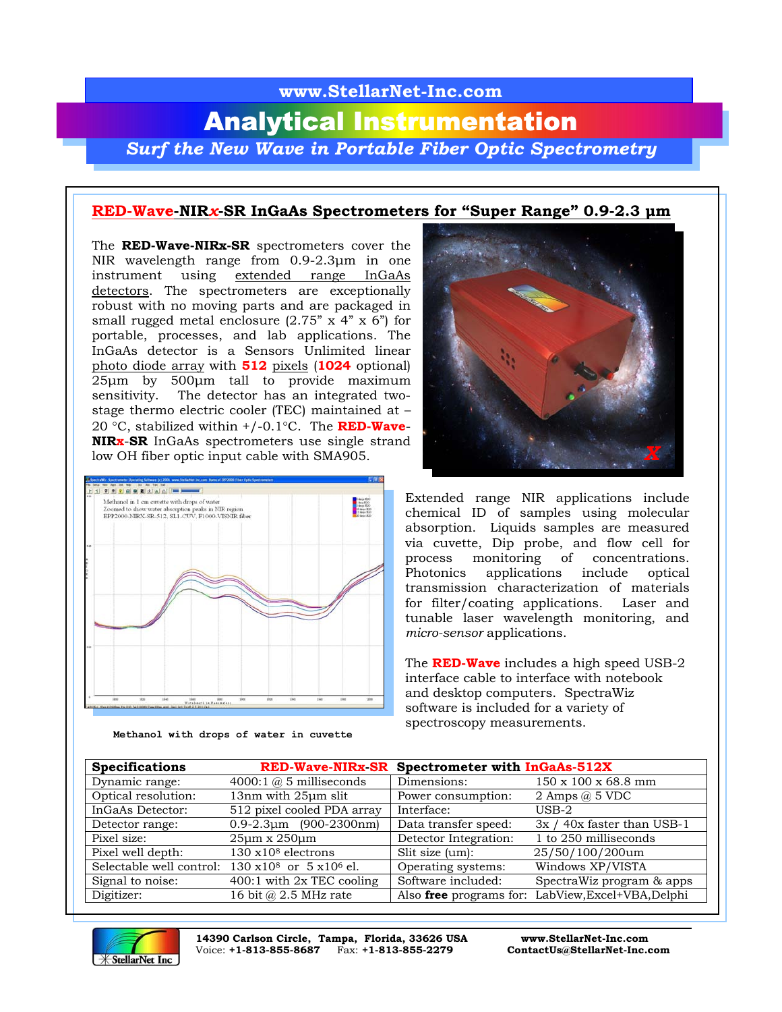## **www.StellarNet-Inc.com** Analytical Instrumentation *Surf the New Wave in Portable Fiber Optic Spectrometry*

## **RED-Wave-NIR***x***-SR InGaAs Spectrometers for "Super Range" 0.9-2.3 µm**

The **RED-Wave-NIRx-SR** spectrometers cover the NIR wavelength range from 0.9-2.3µm in one instrument using extended range InGaAs detectors. The spectrometers are exceptionally robust with no moving parts and are packaged in small rugged metal enclosure  $(2.75" \times 4" \times 6")$  for portable, processes, and lab applications. The InGaAs detector is a Sensors Unlimited linear photo diode array with **512** pixels (**1024** optional) 25µm by 500µm tall to provide maximum sensitivity. The detector has an integrated twostage thermo electric cooler (TEC) maintained at – 20 °C, stabilized within +/-0.1°C. The **RED-Wave**-**NIRx**-**SR** InGaAs spectrometers use single strand low OH fiber optic input cable with SMA905.



**Methanol with drops of water in cuvette**



Extended range NIR applications include chemical ID of samples using molecular absorption. Liquids samples are measured via cuvette, Dip probe, and flow cell for process monitoring of concentrations. Photonics applications include optical transmission characterization of materials for filter/coating applications. Laser and tunable laser wavelength monitoring, and *micro-sensor* applications.

The **RED-Wave** includes a high speed USB-2 interface cable to interface with notebook and desktop computers. SpectraWiz software is included for a variety of spectroscopy measurements.

| <b>Specifications</b>    |                                          | RED-Wave-NIRx-SR Spectrometer with InGaAs-512X |                                                    |  |
|--------------------------|------------------------------------------|------------------------------------------------|----------------------------------------------------|--|
| Dynamic range:           | 4000:1 $@$ 5 milliseconds                | Dimensions:                                    | $150 \times 100 \times 68.8$ mm                    |  |
| Optical resolution:      | 13nm with 25µm slit                      | Power consumption:                             | 2 Amps $\omega$ 5 VDC                              |  |
| InGaAs Detector:         | 512 pixel cooled PDA array               | Interface:                                     | $_{\rm USB-2}$                                     |  |
| Detector range:          | $0.9 - 2.3$ um (900-2300nm)              | Data transfer speed:                           | 3x / 40x faster than USB-1                         |  |
| Pixel size:              | $25\mu m \times 250\mu m$                | Detector Integration:                          | 1 to 250 milliseconds                              |  |
| Pixel well depth:        | $130 \times 10^8$ electrons              | Slit size (um):                                | 25/50/100/200um                                    |  |
| Selectable well control: | $130 \times 10^8$ or $5 \times 10^6$ el. | Operating systems:                             | Windows XP/VISTA                                   |  |
| Signal to noise:         | 400:1 with 2x TEC cooling                | Software included:                             | SpectraWiz program & apps                          |  |
| Digitizer:               | 16 bit $@$ 2.5 MHz rate                  |                                                | Also free programs for: LabView, Excel+VBA, Delphi |  |